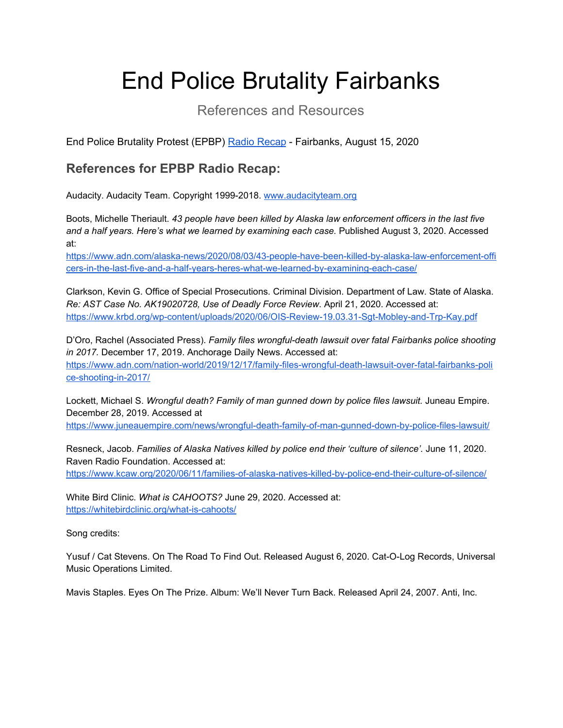## End Police Brutality Fairbanks

## References and Resources

End Police Brutality Protest (EPBP) Radio [Recap](https://drive.google.com/file/d/1LptniVwNMTaJ5aXcJWvTujFqLKLj0VZK/view?usp=sharing) - Fairbanks, August 15, 2020

## **References for EPBP Radio Recap:**

Audacity. Audacity Team. Copyright 1999-2018. [www.audacityteam.org](http://www.audacityteam.org/)

Boots, Michelle Theriault. *43 people have been killed by Alaska law enforcement officers in the last five and a half years. Here's what we learned by examining each case.* Published August 3, 2020. Accessed at[:](https://www.adn.com/alaska-news/2020/08/03/43-people-have-been-killed-by-alaska-law-enforcement-officers-in-the-last-five-and-a-half-years-heres-what-we-learned-by-examining-each-case/)

[https://www.adn.com/alaska-news/2020/08/03/43-people-have-been-killed-by-alaska-law-enforcement-offi](https://www.adn.com/alaska-news/2020/08/03/43-people-have-been-killed-by-alaska-law-enforcement-officers-in-the-last-five-and-a-half-years-heres-what-we-learned-by-examining-each-case/) [cers-in-the-last-five-and-a-half-years-heres-what-we-learned-by-examining-each-case/](https://www.adn.com/alaska-news/2020/08/03/43-people-have-been-killed-by-alaska-law-enforcement-officers-in-the-last-five-and-a-half-years-heres-what-we-learned-by-examining-each-case/)

Clarkson, Kevin G. Office of Special Prosecutions. Criminal Division. Department of Law. State of Alaska. *Re: AST Case No. AK19020728, Use of Deadly Force Review*. April 21, 2020. Accessed at[:](https://www.krbd.org/wp-content/uploads/2020/06/OIS-Review-19.03.31-Sgt-Mobley-and-Trp-Kay.pdf) <https://www.krbd.org/wp-content/uploads/2020/06/OIS-Review-19.03.31-Sgt-Mobley-and-Trp-Kay.pdf>

D'Oro, Rachel (Associated Press). *Family files wrongful-death lawsuit over fatal Fairbanks police shooting in 2017.* December 17, 2019. Anchorage Daily News. Accessed at: [https://www.adn.com/nation-world/2019/12/17/family-files-wrongful-death-lawsuit-over-fatal-fairbanks-poli](https://www.adn.com/nation-world/2019/12/17/family-files-wrongful-death-lawsuit-over-fatal-fairbanks-police-shooting-in-2017/) [ce-shooting-in-2017/](https://www.adn.com/nation-world/2019/12/17/family-files-wrongful-death-lawsuit-over-fatal-fairbanks-police-shooting-in-2017/)

Lockett, Michael S. *Wrongful death? Family of man gunned down by police files lawsuit.* Juneau Empire. December 28, 2019. Accessed at

<https://www.juneauempire.com/news/wrongful-death-family-of-man-gunned-down-by-police-files-lawsuit/>

Resneck, Jacob. *Families of Alaska Natives killed by police end their 'culture of silence'.* June 11, 2020. Raven Radio Foundation. Accessed at:

<https://www.kcaw.org/2020/06/11/families-of-alaska-natives-killed-by-police-end-their-culture-of-silence/>

White Bird Clinic. *What is CAHOOTS?* June 29, 2020. Accessed at: <https://whitebirdclinic.org/what-is-cahoots/>

Song credits:

Yusuf / Cat Stevens. On The Road To Find Out. Released August 6, 2020. Cat-O-Log Records, Universal Music Operations Limited.

Mavis Staples. Eyes On The Prize. Album: We'll Never Turn Back. Released April 24, 2007. Anti, Inc.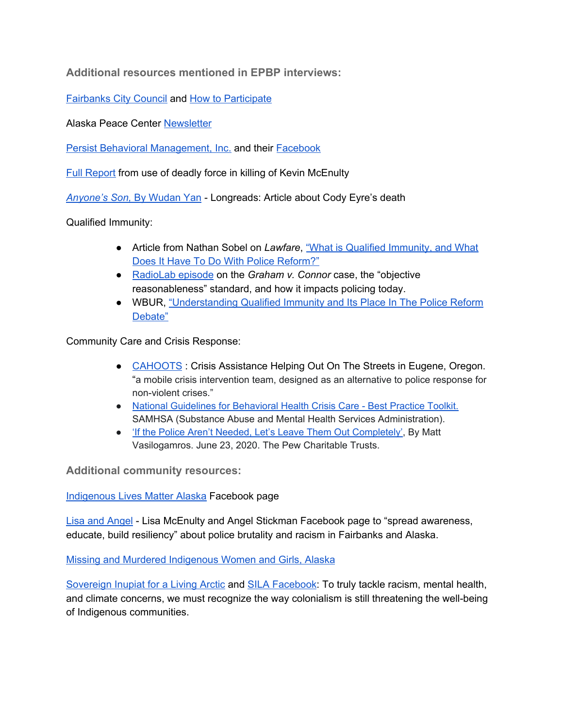**Additional resources mentioned in EPBP interviews:**

[Fairbanks](https://www.fairbanksalaska.us/citycouncil) City Council and How to [Participate](https://www.fairbanksalaska.us/citycouncil/page/stay-connected-city-council)

Alaska Peace Center [Newsletter](http://www.alaskapeace.org/)

Persist Behavioral [Management,](https://www.persistbehavioral.com/) Inc. and their [Facebook](https://www.facebook.com/PERSISTBehavioral/)

Full [Report](https://www.krbd.org/wp-content/uploads/2020/06/OIS-Review-19.03.31-Sgt-Mobley-and-Trp-Kay.pdf) from use of deadly force in killing of Kevin McEnulty

*[Anyone's](https://longreads.com/2019/12/09/anyones-son/) Son,* By [Wudan](https://longreads.com/2019/12/09/anyones-son/) Yan - Longreads: Article about Cody Eyre's death

Qualified Immunity:

- Article from Nathan Sobel on *Lawfare*, "What is Qualified [Immunity,](https://www.lawfareblog.com/what-qualified-immunity-and-what-does-it-have-do-police-reform) and What Does It Have To Do With Police [Reform?"](https://www.lawfareblog.com/what-qualified-immunity-and-what-does-it-have-do-police-reform)
- [RadioLab](https://www.wnycstudios.org/podcasts/radiolab/articles/radiolab-presents-more-perfect-mr-graham-reasonable-man) episode on the *Graham v. Connor* case, the "objective reasonableness" standard, and how it impacts policing today.
- WBUR, ["Understanding](https://www.wbur.org/radioboston/2020/07/14/qualified-immunity-police-reform) Qualified Immunity and Its Place In The Police Reform [Debate"](https://www.wbur.org/radioboston/2020/07/14/qualified-immunity-police-reform)

Community Care and Crisis Response:

- [CAHOOTS](https://whitebirdclinic.org/what-is-cahoots/) : Crisis Assistance Helping Out On The Streets in Eugene, Oregon. "a mobile crisis intervention team, designed as an alternative to police response for non-violent crises."
- [National Guidelines for Behavioral Health Crisis Care Best Practice Toolkit.](https://www.samhsa.gov/sites/default/files/national-guidelines-for-behavioral-health-crisis-care-02242020.pdf) SAMHSA (Substance Abuse and Mental Health Services Administration).
- ['If the Police Aren't Needed, Let's Leave Them Out Completely'](https://www.pewtrusts.org/en/research-and-analysis/blogs/stateline/2020/06/23/if-the-police-arent-needed-lets-leave-them-out-completely), By Matt Vasilogamros. June 23, 2020. The Pew Charitable Trusts.

**Additional community resources:**

[Indigenous](https://www.facebook.com/indigenouslivesmatterAK/) Lives Matter Alaska Facebook page

Lisa and [Angel](https://www.facebook.com/Lisa-and-Angel-100194341735612/) - Lisa McEnulty and Angel Stickman Facebook page to "spread awareness, educate, build resiliency" about police brutality and racism in Fairbanks and Alaska.

Missing and Murdered [Indigenous](https://www.facebook.com/MMIWGAlaska/) Women and Girls, Alaska

[Sovereign](https://www.silainuat.org/) Inupiat for a Living Arctic and SILA [Facebook](https://www.facebook.com/silainuat/?__tn__=K-R&eid=ARB6_MCrsMwE8HtUVHTXJHVCqmrRzvz0oy8YVPCL4fSm1L-8DeYx-x3akrqxFn8nf3VER1qL61q_x3CU&fref=mentions&__xts__[0]=68.ARDiDlJDE9lDgu5lhseVWaMGNVTlQiGGg-3ezXPW3GiFwfUeG5xwYLkQl0PLuhoqOP5HixfyZ10K1A5i54NngranKS12m_SsRMuLnu5Jt9XeqxjKLeMmwaxYs9Bl6BKeRUY_oAXAeyPWrHrHvochyj1b-S0PuPoP-371bt76gK_fAXlq0GBf8ju6C8Po3nnYveHzpVItzvQIzLVtWG2Y0SuLgWMzyVWe7pRAuCt2fNsItkbZSnl3PdXFahSUS8NXx6ExlVFb3J81HiLhpFxfCrhvoORt7OYg5Aocc8KtY9JN5e0LQJ1SsQmTeaxv_dZ-H0HPiLloM53gp2iX8Uw4ql2b5e2l9ccUgfsZTj3PXWmmsPGLOPRPHM8XnMGy2Mx79Sr2smiO7Wj5zhyizMF2oLgv77pOEBx5vN4Req6Ozf9kLspDHWuRHu5RzeZ-LvRt482Iqo6bGEeAoLiLzpxXAhYn-6AvzdaT8NW6f8UVmXlr8a-V): To truly tackle racism, mental health, and climate concerns, we must recognize the way colonialism is still threatening the well-being of Indigenous communities.